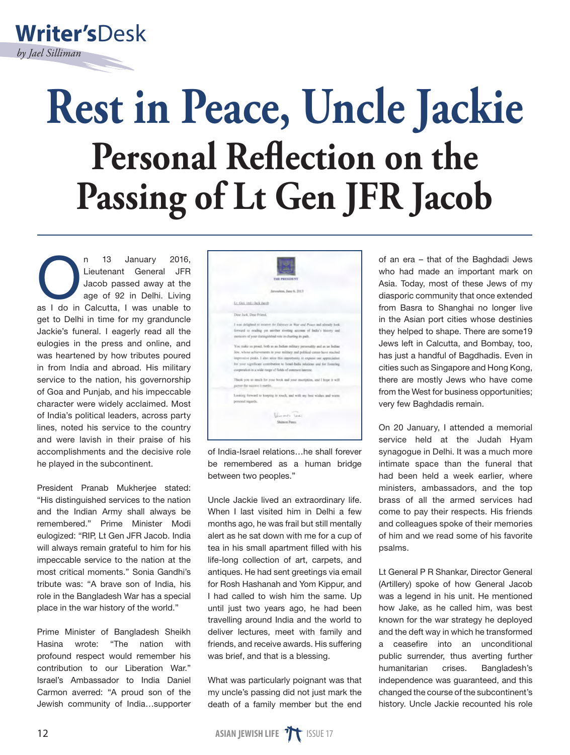

## **Rest in Peace, Uncle Jackie Personal Reflection on the Passing of Lt Gen JFR Jacob**

n 13 January 2016,<br>
Lieutenant General JFR<br>
Jacob passed away at the<br>
age of 92 in Delhi. Living<br>
as I do in Calcutta, I was unable to Lieutenant General JFR Jacob passed away at the age of 92 in Delhi. Living get to Delhi in time for my granduncle Jackie's funeral. I eagerly read all the eulogies in the press and online, and was heartened by how tributes poured in from India and abroad. His military service to the nation, his governorship of Goa and Punjab, and his impeccable character were widely acclaimed. Most of India's political leaders, across party lines, noted his service to the country and were lavish in their praise of his accomplishments and the decisive role he played in the subcontinent.

President Pranab Mukheriee stated: "His distinguished services to the nation and the Indian Army shall always be remembered." Prime Minister Modi eulogized: "RIP, Lt Gen JFR Jacob. India will always remain grateful to him for his impeccable service to the nation at the most critical moments." Sonia Gandhi's tribute was: "A brave son of India, his role in the Bangladesh War has a special place in the war history of the world."

Prime Minister of Bangladesh Sheikh Hasina wrote: "The nation with profound respect would remember his contribution to our Liberation War." Israel's Ambassador to India Daniel Carmon averred: "A proud son of the Jewish community of India…supporter



of India-Israel relations…he shall forever be remembered as a human bridge between two peoples."

Uncle Jackie lived an extraordinary life. When I last visited him in Delhi a few months ago, he was frail but still mentally alert as he sat down with me for a cup of tea in his small apartment filled with his life-long collection of art, carpets, and antiques. He had sent greetings via email for Rosh Hashanah and Yom Kippur, and I had called to wish him the same. Up until just two years ago, he had been travelling around India and the world to deliver lectures, meet with family and friends, and receive awards. His suffering was brief, and that is a blessing.

What was particularly poignant was that my uncle's passing did not just mark the death of a family member but the end

of an era – that of the Baghdadi Jews who had made an important mark on Asia. Today, most of these Jews of my diasporic community that once extended from Basra to Shanghai no longer live in the Asian port cities whose destinies they helped to shape. There are some19 Jews left in Calcutta, and Bombay, too, has just a handful of Bagdhadis. Even in cities such as Singapore and Hong Kong, there are mostly Jews who have come from the West for business opportunities; very few Baghdadis remain.

On 20 January, I attended a memorial service held at the Judah Hyam synagogue in Delhi. It was a much more intimate space than the funeral that had been held a week earlier, where ministers, ambassadors, and the top brass of all the armed services had come to pay their respects. His friends and colleagues spoke of their memories of him and we read some of his favorite psalms.

Lt General P R Shankar, Director General (Artillery) spoke of how General Jacob was a legend in his unit. He mentioned how Jake, as he called him, was best known for the war strategy he deployed and the deft way in which he transformed a ceasefire into an unconditional public surrender, thus averting further humanitarian crises. Bangladesh's independence was guaranteed, and this changed the course of the subcontinent's history. Uncle Jackie recounted his role

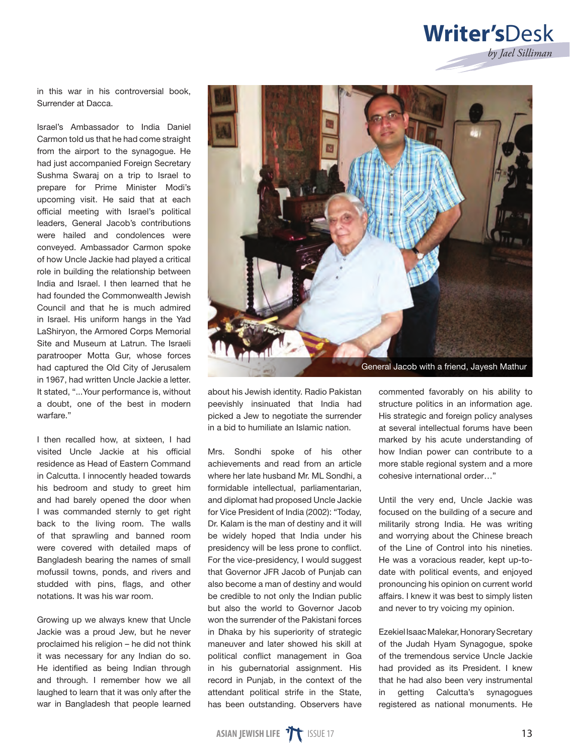## **Writer's**Desk *by Jael Silliman*

in this war in his controversial book, Surrender at Dacca.

Israel's Ambassador to India Daniel Carmon told us that he had come straight from the airport to the synagogue. He had just accompanied Foreign Secretary Sushma Swaraj on a trip to Israel to prepare for Prime Minister Modi's upcoming visit. He said that at each official meeting with Israel's political leaders, General Jacob's contributions were hailed and condolences were conveyed. Ambassador Carmon spoke of how Uncle Jackie had played a critical role in building the relationship between India and Israel. I then learned that he had founded the Commonwealth Jewish Council and that he is much admired in Israel. His uniform hangs in the Yad LaShiryon, the Armored Corps Memorial Site and Museum at Latrun. The Israeli paratrooper Motta Gur, whose forces had captured the Old City of Jerusalem in 1967, had written Uncle Jackie a letter. It stated, "...Your performance is, without a doubt, one of the best in modern warfare."

I then recalled how, at sixteen, I had visited Uncle Jackie at his official residence as Head of Eastern Command in Calcutta. I innocently headed towards his bedroom and study to greet him and had barely opened the door when I was commanded sternly to get right back to the living room. The walls of that sprawling and banned room were covered with detailed maps of Bangladesh bearing the names of small mofussil towns, ponds, and rivers and studded with pins, flags, and other notations. It was his war room.

Growing up we always knew that Uncle Jackie was a proud Jew, but he never proclaimed his religion – he did not think it was necessary for any Indian do so. He identified as being Indian through and through. I remember how we all laughed to learn that it was only after the war in Bangladesh that people learned



about his Jewish identity. Radio Pakistan peevishly insinuated that India had picked a Jew to negotiate the surrender in a bid to humiliate an Islamic nation.

Mrs. Sondhi spoke of his other achievements and read from an article where her late husband Mr. ML Sondhi, a formidable intellectual, parliamentarian, and diplomat had proposed Uncle Jackie for Vice President of India (2002): "Today, Dr. Kalam is the man of destiny and it will be widely hoped that India under his presidency will be less prone to conflict. For the vice-presidency, I would suggest that Governor JFR Jacob of Punjab can also become a man of destiny and would be credible to not only the Indian public but also the world to Governor Jacob won the surrender of the Pakistani forces in Dhaka by his superiority of strategic maneuver and later showed his skill at political conflict management in Goa in his gubernatorial assignment. His record in Punjab, in the context of the attendant political strife in the State, has been outstanding. Observers have **Ceneral Jacob with a friend, Jayesh Mathur**<br> **ASSEM** Vinsinuated that India had structure politics in an information age abid to humiliate an Islamic nation. His state alse we have to negotiate the surrender His state and

commented favorably on his ability to structure politics in an information age. His strategic and foreign policy analyses at several intellectual forums have been marked by his acute understanding of how Indian power can contribute to a more stable regional system and a more cohesive international order…"

Until the very end, Uncle Jackie was focused on the building of a secure and militarily strong India. He was writing and worrying about the Chinese breach of the Line of Control into his nineties. He was a voracious reader, kept up-todate with political events, and enjoyed pronouncing his opinion on current world affairs. I knew it was best to simply listen and never to try voicing my opinion.

Ezekiel Isaac Malekar, Honorary Secretary of the Judah Hyam Synagogue, spoke of the tremendous service Uncle Jackie had provided as its President. I knew that he had also been very instrumental in getting Calcutta's synagogues registered as national monuments. He